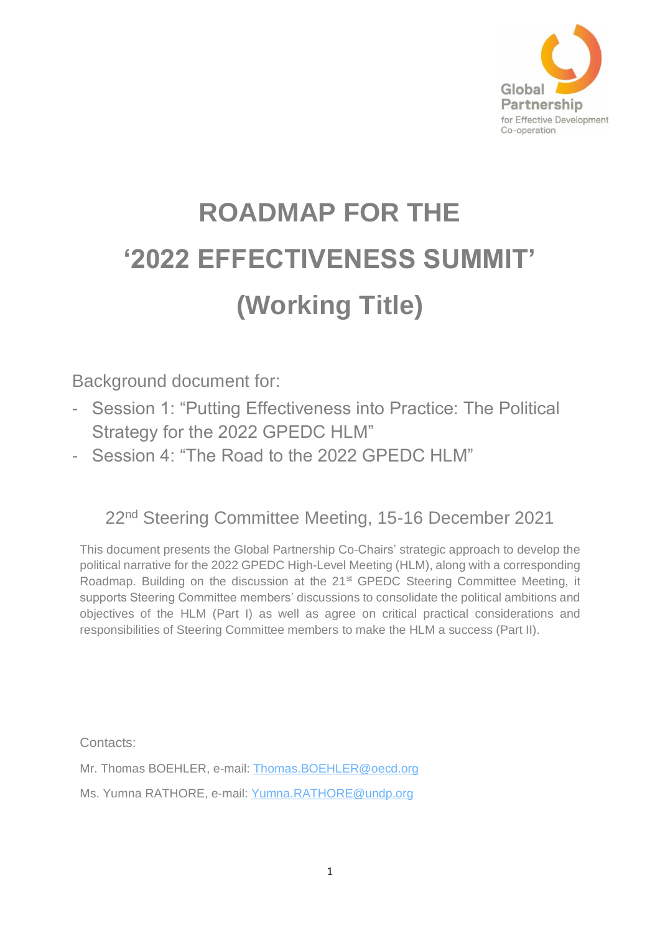

# **ROADMAP FOR THE '2022 EFFECTIVENESS SUMMIT' (Working Title)**

Background document for:

- Session 1: "Putting Effectiveness into Practice: The Political Strategy for the 2022 GPEDC HLM"
- Session 4: "The Road to the 2022 GPEDC HLM"

# 22nd Steering Committee Meeting, 15-16 December 2021

This document presents the Global Partnership Co-Chairs' strategic approach to develop the political narrative for the 2022 GPEDC High-Level Meeting (HLM), along with a corresponding Roadmap. Building on the discussion at the  $21<sup>st</sup>$  GPEDC Steering Committee Meeting, it supports Steering Committee members' discussions to consolidate the political ambitions and objectives of the HLM (Part I) as well as agree on critical practical considerations and responsibilities of Steering Committee members to make the HLM a success (Part II).

Contacts:

Mr. Thomas BOEHLER, e-mail: [Thomas.BOEHLER@oecd.org](mailto:Thomas.BOEHLER@oecd.org)

Ms. Yumna RATHORE, e-mail: [Yumna.RATHORE@undp.org](mailto:Yumna.RATHORE@undp.org)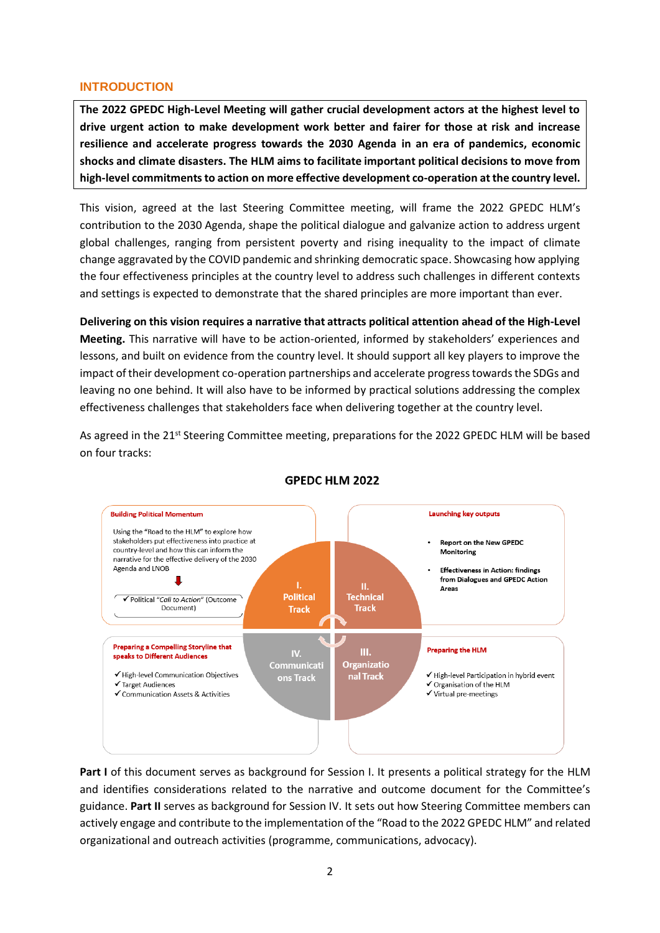### **INTRODUCTION**

**The 2022 GPEDC High-Level Meeting will gather crucial development actors at the highest level to drive urgent action to make development work better and fairer for those at risk and increase resilience and accelerate progress towards the 2030 Agenda in an era of pandemics, economic shocks and climate disasters. The HLM aims to facilitate important political decisions to move from high-level commitments to action on more effective development co-operation at the country level.**

This vision, agreed at the last Steering Committee meeting, will frame the 2022 GPEDC HLM's contribution to the 2030 Agenda, shape the political dialogue and galvanize action to address urgent global challenges, ranging from persistent poverty and rising inequality to the impact of climate change aggravated by the COVID pandemic and shrinking democratic space. Showcasing how applying the four effectiveness principles at the country level to address such challenges in different contexts and settings is expected to demonstrate that the shared principles are more important than ever.

**Delivering on this vision requires a narrative that attracts political attention ahead of the High-Level Meeting.** This narrative will have to be action-oriented, informed by stakeholders' experiences and lessons, and built on evidence from the country level. It should support all key players to improve the impact of their development co-operation partnerships and accelerate progress towards the SDGs and leaving no one behind. It will also have to be informed by practical solutions addressing the complex effectiveness challenges that stakeholders face when delivering together at the country level.

As agreed in the 21<sup>st</sup> Steering Committee meeting, preparations for the 2022 GPEDC HLM will be based on four tracks:



# **GPEDC HLM 2022**

**Part I** of this document serves as background for Session I. It presents a political strategy for the HLM and identifies considerations related to the narrative and outcome document for the Committee's guidance. **Part II** serves as background for Session IV. It sets out how Steering Committee members can actively engage and contribute to the implementation of the "Road to the 2022 GPEDC HLM" and related organizational and outreach activities (programme, communications, advocacy).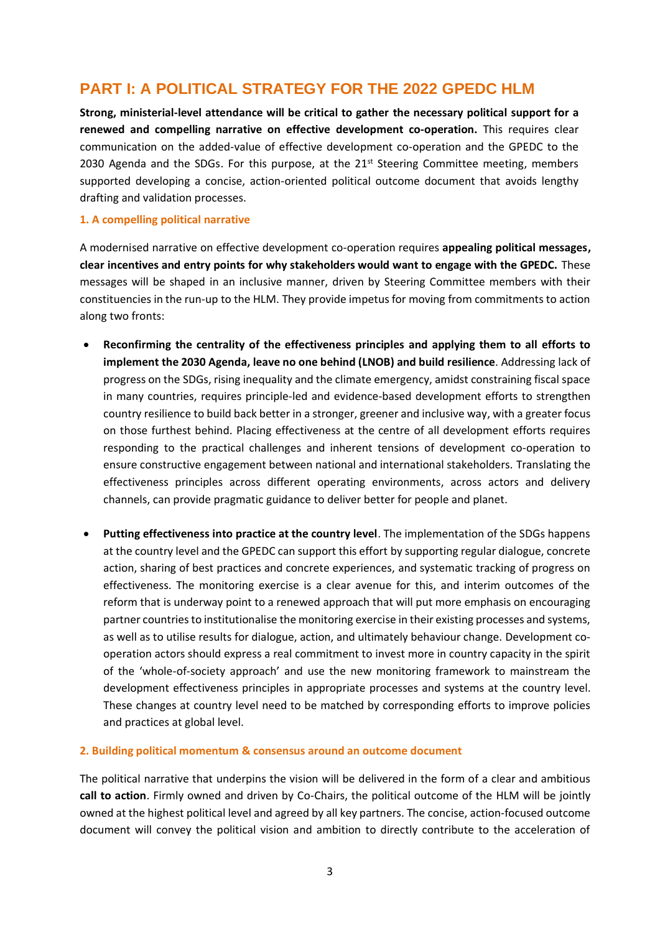# **PART I: A POLITICAL STRATEGY FOR THE 2022 GPEDC HLM**

**Strong, ministerial-level attendance will be critical to gather the necessary political support for a renewed and compelling narrative on effective development co-operation.** This requires clear communication on the added-value of effective development co-operation and the GPEDC to the 2030 Agenda and the SDGs. For this purpose, at the 21<sup>st</sup> Steering Committee meeting, members supported developing a concise, action-oriented political outcome document that avoids lengthy drafting and validation processes.

#### **1. A compelling political narrative**

A modernised narrative on effective development co-operation requires **appealing political messages, clear incentives and entry points for why stakeholders would want to engage with the GPEDC.** These messages will be shaped in an inclusive manner, driven by Steering Committee members with their constituencies in the run-up to the HLM. They provide impetus for moving from commitments to action along two fronts:

- **Reconfirming the centrality of the effectiveness principles and applying them to all efforts to implement the 2030 Agenda, leave no one behind (LNOB) and build resilience**. Addressing lack of progress on the SDGs, rising inequality and the climate emergency, amidst constraining fiscal space in many countries, requires principle-led and evidence-based development efforts to strengthen country resilience to build back better in a stronger, greener and inclusive way, with a greater focus on those furthest behind. Placing effectiveness at the centre of all development efforts requires responding to the practical challenges and inherent tensions of development co-operation to ensure constructive engagement between national and international stakeholders. Translating the effectiveness principles across different operating environments, across actors and delivery channels, can provide pragmatic guidance to deliver better for people and planet.
- **Putting effectiveness into practice at the country level**. The implementation of the SDGs happens at the country level and the GPEDC can support this effort by supporting regular dialogue, concrete action, sharing of best practices and concrete experiences, and systematic tracking of progress on effectiveness. The monitoring exercise is a clear avenue for this, and interim outcomes of the reform that is underway point to a renewed approach that will put more emphasis on encouraging partner countries to institutionalise the monitoring exercise in their existing processes and systems, as well as to utilise results for dialogue, action, and ultimately behaviour change. Development cooperation actors should express a real commitment to invest more in country capacity in the spirit of the 'whole-of-society approach' and use the new monitoring framework to mainstream the development effectiveness principles in appropriate processes and systems at the country level. These changes at country level need to be matched by corresponding efforts to improve policies and practices at global level.

#### **2. Building political momentum & consensus around an outcome document**

The political narrative that underpins the vision will be delivered in the form of a clear and ambitious **call to action**. Firmly owned and driven by Co-Chairs, the political outcome of the HLM will be jointly owned at the highest political level and agreed by all key partners. The concise, action-focused outcome document will convey the political vision and ambition to directly contribute to the acceleration of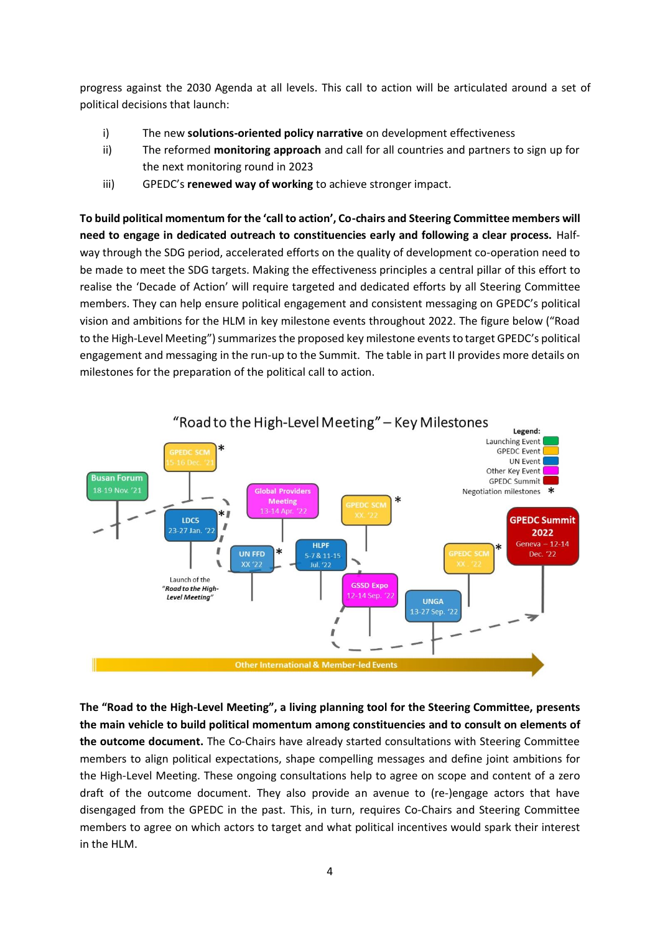progress against the 2030 Agenda at all levels. This call to action will be articulated around a set of political decisions that launch:

- i) The new **solutions-oriented policy narrative** on development effectiveness
- ii) The reformed **monitoring approach** and call for all countries and partners to sign up for the next monitoring round in 2023
- iii) GPEDC's **renewed way of working** to achieve stronger impact.

**To build political momentum for the 'call to action', Co-chairs and Steering Committee members will need to engage in dedicated outreach to constituencies early and following a clear process.** Halfway through the SDG period, accelerated efforts on the quality of development co-operation need to be made to meet the SDG targets. Making the effectiveness principles a central pillar of this effort to realise the 'Decade of Action' will require targeted and dedicated efforts by all Steering Committee members. They can help ensure political engagement and consistent messaging on GPEDC's political vision and ambitions for the HLM in key milestone events throughout 2022. The figure below ("Road to the High-Level Meeting") summarizes the proposed key milestone eventsto target GPEDC's political engagement and messaging in the run-up to the Summit. The table in part II provides more details on milestones for the preparation of the political call to action.



**The "Road to the High-Level Meeting", a living planning tool for the Steering Committee, presents the main vehicle to build political momentum among constituencies and to consult on elements of the outcome document.** The Co-Chairs have already started consultations with Steering Committee members to align political expectations, shape compelling messages and define joint ambitions for the High-Level Meeting. These ongoing consultations help to agree on scope and content of a zero draft of the outcome document. They also provide an avenue to (re-)engage actors that have disengaged from the GPEDC in the past. This, in turn, requires Co-Chairs and Steering Committee members to agree on which actors to target and what political incentives would spark their interest in the HLM.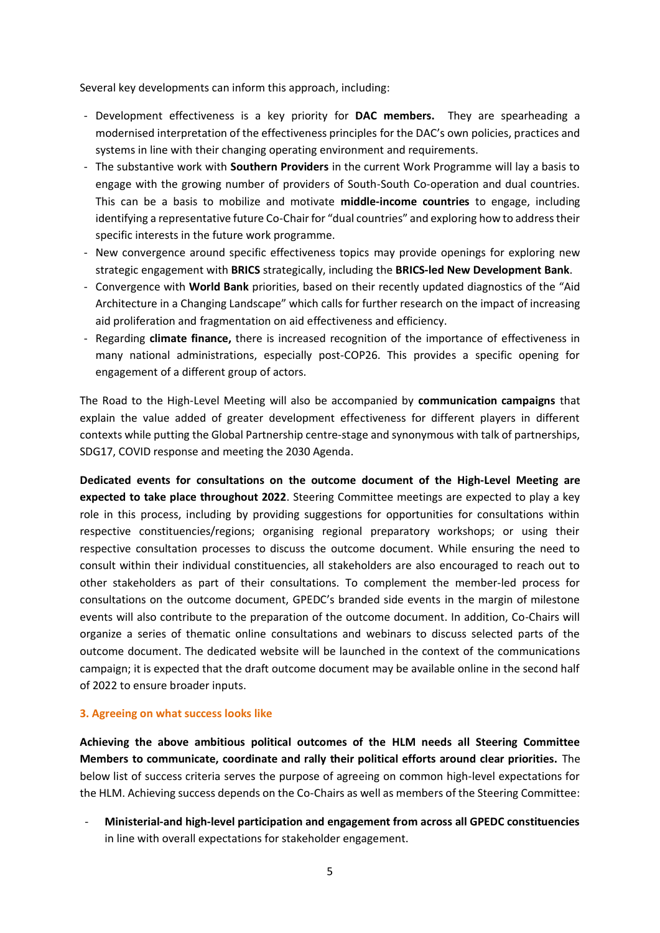Several key developments can inform this approach, including:

- Development effectiveness is a key priority for **DAC members.** They are spearheading a modernised interpretation of the effectiveness principles for the DAC's own policies, practices and systems in line with their changing operating environment and requirements.
- The substantive work with **Southern Providers** in the current Work Programme will lay a basis to engage with the growing number of providers of South-South Co-operation and dual countries. This can be a basis to mobilize and motivate **middle-income countries** to engage, including identifying a representative future Co-Chair for "dual countries" and exploring how to address their specific interests in the future work programme.
- New convergence around specific effectiveness topics may provide openings for exploring new strategic engagement with **BRICS** strategically, including the **BRICS-led New Development Bank**.
- Convergence with **World Bank** priorities, based on their recently updated diagnostics of the "Aid Architecture in a Changing Landscape" which calls for further research on the impact of increasing aid proliferation and fragmentation on aid effectiveness and efficiency.
- Regarding **climate finance,** there is increased recognition of the importance of effectiveness in many national administrations, especially post-COP26. This provides a specific opening for engagement of a different group of actors.

The Road to the High-Level Meeting will also be accompanied by **communication campaigns** that explain the value added of greater development effectiveness for different players in different contexts while putting the Global Partnership centre-stage and synonymous with talk of partnerships, SDG17, COVID response and meeting the 2030 Agenda.

**Dedicated events for consultations on the outcome document of the High-Level Meeting are expected to take place throughout 2022**. Steering Committee meetings are expected to play a key role in this process, including by providing suggestions for opportunities for consultations within respective constituencies/regions; organising regional preparatory workshops; or using their respective consultation processes to discuss the outcome document. While ensuring the need to consult within their individual constituencies, all stakeholders are also encouraged to reach out to other stakeholders as part of their consultations. To complement the member-led process for consultations on the outcome document, GPEDC's branded side events in the margin of milestone events will also contribute to the preparation of the outcome document. In addition, Co-Chairs will organize a series of thematic online consultations and webinars to discuss selected parts of the outcome document. The dedicated website will be launched in the context of the communications campaign; it is expected that the draft outcome document may be available online in the second half of 2022 to ensure broader inputs.

#### **3. Agreeing on what success looks like**

**Achieving the above ambitious political outcomes of the HLM needs all Steering Committee Members to communicate, coordinate and rally their political efforts around clear priorities.** The below list of success criteria serves the purpose of agreeing on common high-level expectations for the HLM. Achieving success depends on the Co-Chairs as well as members of the Steering Committee:

- **Ministerial-and high-level participation and engagement from across all GPEDC constituencies**  in line with overall expectations for stakeholder engagement.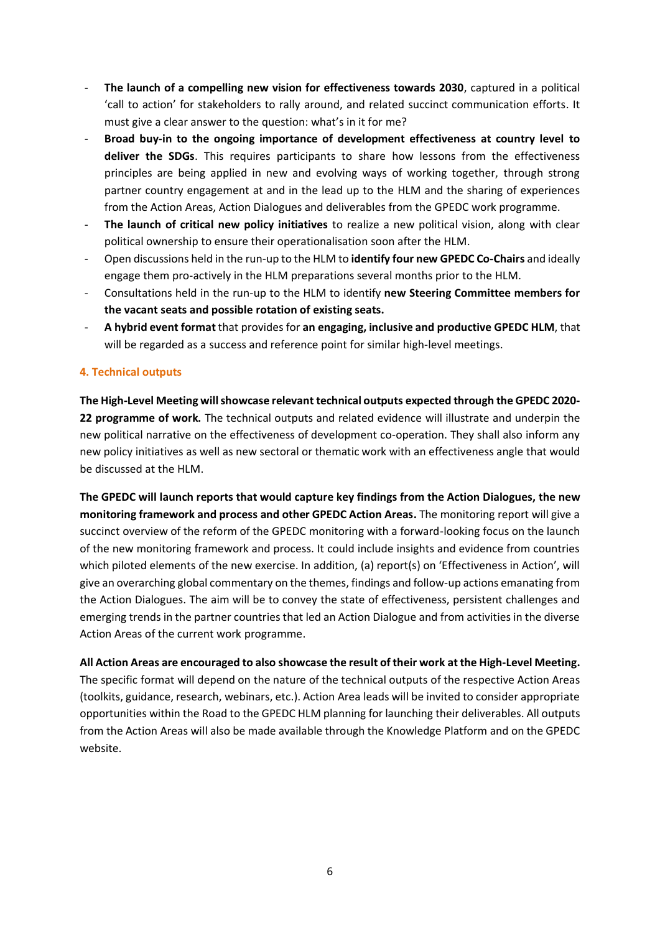- **The launch of a compelling new vision for effectiveness towards 2030**, captured in a political 'call to action' for stakeholders to rally around, and related succinct communication efforts. It must give a clear answer to the question: what's in it for me?
- **Broad buy-in to the ongoing importance of development effectiveness at country level to deliver the SDGs**. This requires participants to share how lessons from the effectiveness principles are being applied in new and evolving ways of working together, through strong partner country engagement at and in the lead up to the HLM and the sharing of experiences from the Action Areas, Action Dialogues and deliverables from the GPEDC work programme.
- The launch of critical new policy initiatives to realize a new political vision, along with clear political ownership to ensure their operationalisation soon after the HLM.
- Open discussions held in the run-up to the HLM to **identify four new GPEDC Co-Chairs** and ideally engage them pro-actively in the HLM preparations several months prior to the HLM.
- Consultations held in the run-up to the HLM to identify **new Steering Committee members for the vacant seats and possible rotation of existing seats.**
- **A hybrid event format** that provides for **an engaging, inclusive and productive GPEDC HLM**, that will be regarded as a success and reference point for similar high-level meetings.

# **4. Technical outputs**

**The High-Level Meeting willshowcase relevant technical outputs expected through the GPEDC 2020- 22 programme of work.** The technical outputs and related evidence will illustrate and underpin the new political narrative on the effectiveness of development co-operation. They shall also inform any new policy initiatives as well as new sectoral or thematic work with an effectiveness angle that would be discussed at the HLM.

**The GPEDC will launch reports that would capture key findings from the Action Dialogues, the new monitoring framework and process and other GPEDC Action Areas.** The monitoring report will give a succinct overview of the reform of the GPEDC monitoring with a forward-looking focus on the launch of the new monitoring framework and process. It could include insights and evidence from countries which piloted elements of the new exercise. In addition, (a) report(s) on 'Effectiveness in Action', will give an overarching global commentary on the themes, findings and follow-up actions emanating from the Action Dialogues. The aim will be to convey the state of effectiveness, persistent challenges and emerging trends in the partner countries that led an Action Dialogue and from activities in the diverse Action Areas of the current work programme.

**All Action Areas are encouraged to also showcase the result of their work at the High-Level Meeting.** The specific format will depend on the nature of the technical outputs of the respective Action Areas (toolkits, guidance, research, webinars, etc.). Action Area leads will be invited to consider appropriate opportunities within the Road to the GPEDC HLM planning for launching their deliverables. All outputs from the Action Areas will also be made available through the Knowledge Platform and on the GPEDC website.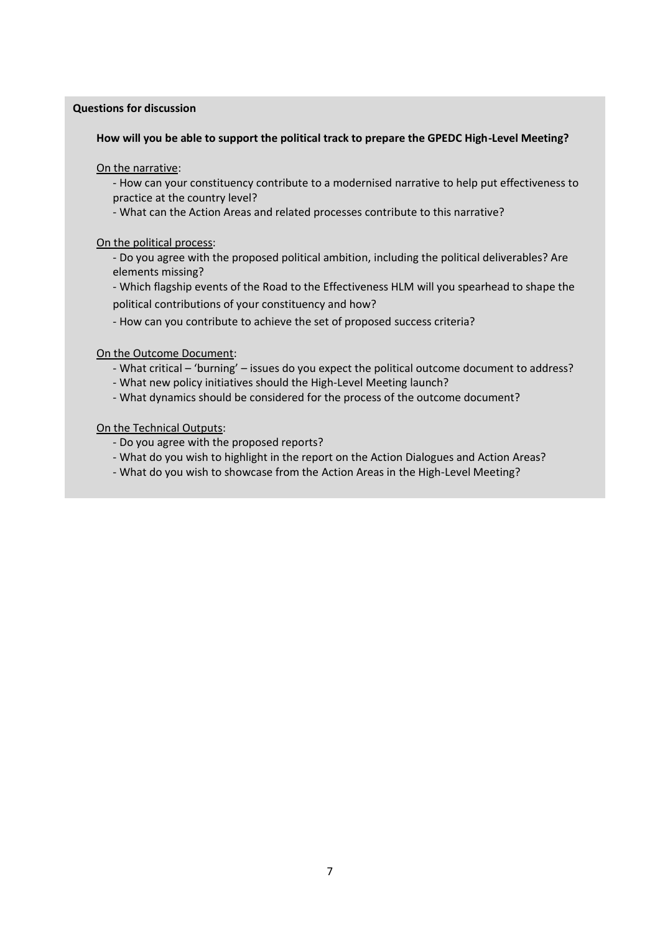#### **Questions for discussion**

#### **How will you be able to support the political track to prepare the GPEDC High-Level Meeting?**

On the narrative:

- How can your constituency contribute to a modernised narrative to help put effectiveness to practice at the country level?

- What can the Action Areas and related processes contribute to this narrative?

On the political process:

- Do you agree with the proposed political ambition, including the political deliverables? Are elements missing?

- Which flagship events of the Road to the Effectiveness HLM will you spearhead to shape the political contributions of your constituency and how?

- How can you contribute to achieve the set of proposed success criteria?

On the Outcome Document:

- What critical 'burning' issues do you expect the political outcome document to address?
- What new policy initiatives should the High-Level Meeting launch?
- What dynamics should be considered for the process of the outcome document?

On the Technical Outputs:

- Do you agree with the proposed reports?
- What do you wish to highlight in the report on the Action Dialogues and Action Areas?
- What do you wish to showcase from the Action Areas in the High-Level Meeting?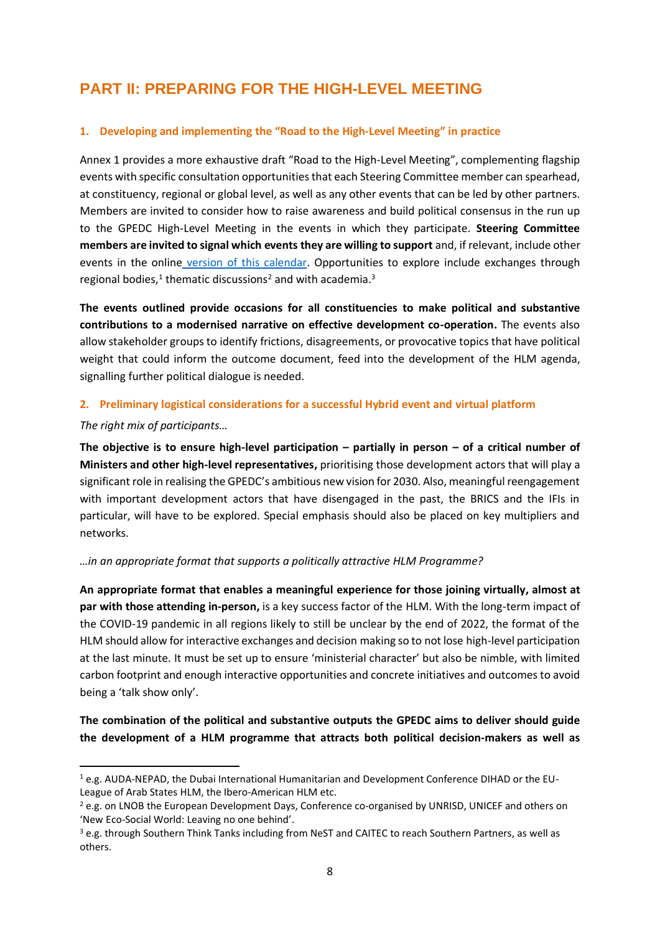# **PART II: PREPARING FOR THE HIGH-LEVEL MEETING**

# **1. Developing and implementing the "Road to the High-Level Meeting" in practice**

Annex 1 provides a more exhaustive draft "Road to the High-Level Meeting", complementing flagship events with specific consultation opportunities that each Steering Committee member can spearhead, at constituency, regional or global level, as well as any other events that can be led by other partners. Members are invited to consider how to raise awareness and build political consensus in the run up to the GPEDC High-Level Meeting in the events in which they participate. **Steering Committee members are invited to signal which events they are willing to support** and, if relevant, include other events in the online [version of this calendar.](https://www.effectivecooperation.org/RoadtoHLM3Calendar) Opportunities to explore include exchanges through regional bodies,<sup>1</sup> thematic discussions<sup>2</sup> and with academia.<sup>3</sup>

**The events outlined provide occasions for all constituencies to make political and substantive contributions to a modernised narrative on effective development co-operation.** The events also allow stakeholder groups to identify frictions, disagreements, or provocative topics that have political weight that could inform the outcome document, feed into the development of the HLM agenda, signalling further political dialogue is needed.

# **2. Preliminary logistical considerations for a successful Hybrid event and virtual platform**

#### *The right mix of participants…*

**The objective is to ensure high-level participation – partially in person – of a critical number of Ministers and other high-level representatives,** prioritising those development actors that will play a significant role in realising the GPEDC's ambitious new vision for 2030. Also, meaningful reengagement with important development actors that have disengaged in the past, the BRICS and the IFIs in particular, will have to be explored. Special emphasis should also be placed on key multipliers and networks.

# *…in an appropriate format that supports a politically attractive HLM Programme?*

**An appropriate format that enables a meaningful experience for those joining virtually, almost at par with those attending in-person,** is a key success factor of the HLM. With the long-term impact of the COVID-19 pandemic in all regions likely to still be unclear by the end of 2022, the format of the HLM should allow for interactive exchanges and decision making so to not lose high-level participation at the last minute. It must be set up to ensure 'ministerial character' but also be nimble, with limited carbon footprint and enough interactive opportunities and concrete initiatives and outcomes to avoid being a 'talk show only'.

**The combination of the political and substantive outputs the GPEDC aims to deliver should guide the development of a HLM programme that attracts both political decision-makers as well as** 

<sup>1</sup> e.g. AUDA-NEPAD, the Dubai International Humanitarian and Development Conference DIHAD or the EU-League of Arab States HLM, the Ibero-American HLM etc.

<sup>&</sup>lt;sup>2</sup> e.g. on LNOB the European Development Days, Conference co-organised by UNRISD, UNICEF and others on 'New Eco-Social World: Leaving no one behind'.

<sup>3</sup> e.g. through Southern Think Tanks including from NeST and CAITEC to reach Southern Partners, as well as others.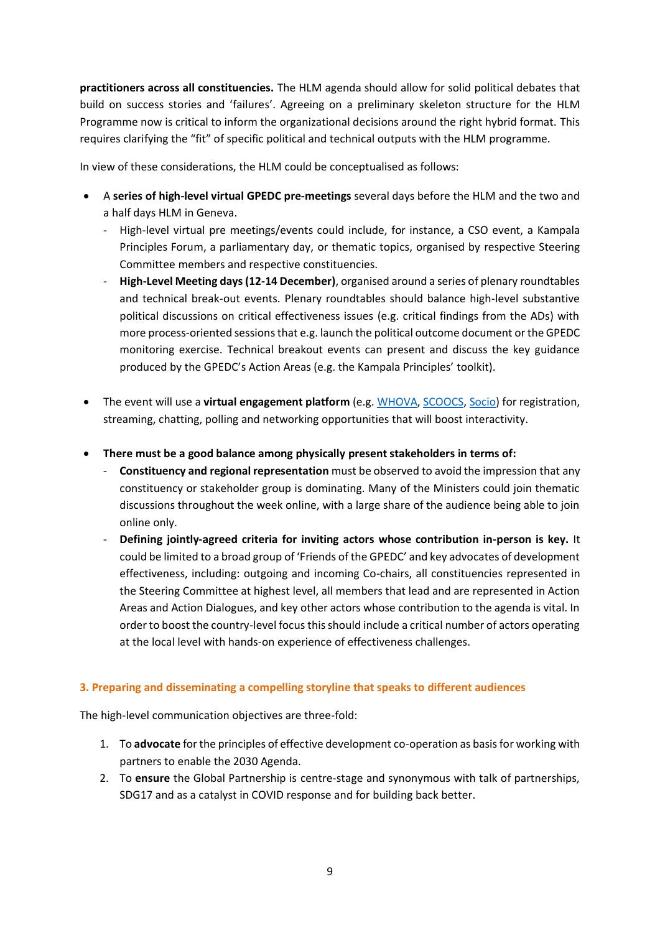**practitioners across all constituencies.** The HLM agenda should allow for solid political debates that build on success stories and 'failures'. Agreeing on a preliminary skeleton structure for the HLM Programme now is critical to inform the organizational decisions around the right hybrid format. This requires clarifying the "fit" of specific political and technical outputs with the HLM programme.

In view of these considerations, the HLM could be conceptualised as follows:

- A **series of high-level virtual GPEDC pre-meetings** several days before the HLM and the two and a half days HLM in Geneva.
	- High-level virtual pre meetings/events could include, for instance, a CSO event, a Kampala Principles Forum, a parliamentary day, or thematic topics, organised by respective Steering Committee members and respective constituencies.
	- **High-Level Meeting days (12-14 December)**, organised around a series of plenary roundtables and technical break-out events. Plenary roundtables should balance high-level substantive political discussions on critical effectiveness issues (e.g. critical findings from the ADs) with more process-oriented sessions that e.g. launch the political outcome document or the GPEDC monitoring exercise. Technical breakout events can present and discuss the key guidance produced by the GPEDC's Action Areas (e.g. the Kampala Principles' toolkit).
- The event will use a **virtual engagement platform** (e.g. [WHOVA,](https://www.youtube.com/watch?v=YnbJg-fhxdY) [SCOOCS,](https://www.youtube.com/watch?v=8uCIqjmoEIY) [Socio\)](https://www.youtube.com/watch?v=Aho2y4ylB9k) for registration, streaming, chatting, polling and networking opportunities that will boost interactivity.
- **There must be a good balance among physically present stakeholders in terms of:**
	- **Constituency and regional representation** must be observed to avoid the impression that any constituency or stakeholder group is dominating. Many of the Ministers could join thematic discussions throughout the week online, with a large share of the audience being able to join online only.
	- **Defining jointly-agreed criteria for inviting actors whose contribution in-person is key.** It could be limited to a broad group of 'Friends of the GPEDC' and key advocates of development effectiveness, including: outgoing and incoming Co-chairs, all constituencies represented in the Steering Committee at highest level, all members that lead and are represented in Action Areas and Action Dialogues, and key other actors whose contribution to the agenda is vital. In order to boost the country-level focus this should include a critical number of actors operating at the local level with hands-on experience of effectiveness challenges.

# **3. Preparing and disseminating a compelling storyline that speaks to different audiences**

The high-level communication objectives are three-fold:

- 1. To **advocate** for the principles of effective development co-operation as basis for working with partners to enable the 2030 Agenda.
- 2. To **ensure** the Global Partnership is centre-stage and synonymous with talk of partnerships, SDG17 and as a catalyst in COVID response and for building back better.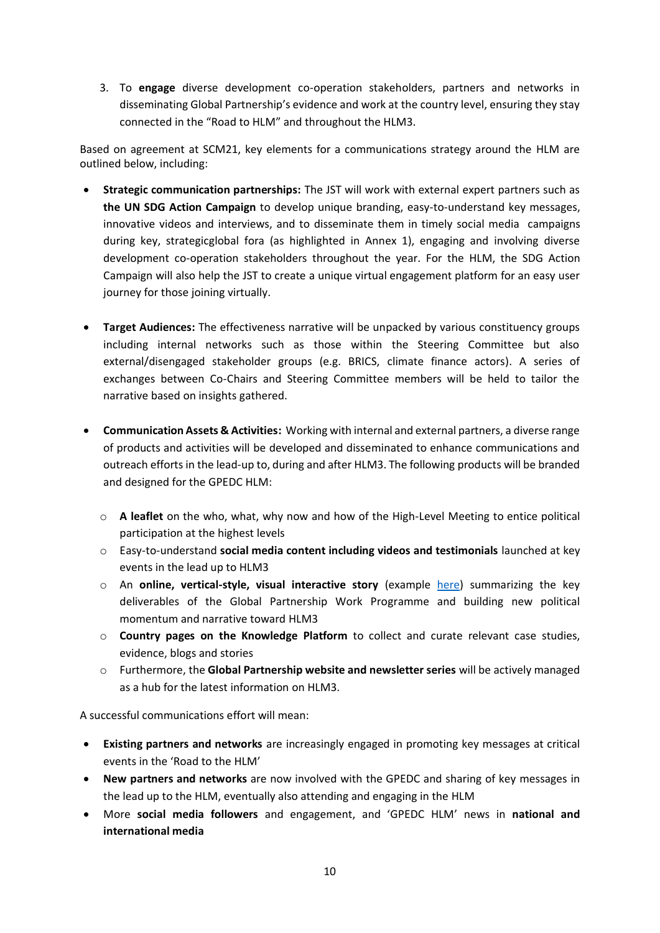3. To **engage** diverse development co-operation stakeholders, partners and networks in disseminating Global Partnership's evidence and work at the country level, ensuring they stay connected in the "Road to HLM" and throughout the HLM3.

Based on agreement at SCM21, key elements for a communications strategy around the HLM are outlined below, including:

- **Strategic communication partnerships:** The JST will work with external expert partners such as **the UN SDG Action Campaign** to develop unique branding, easy-to-understand key messages, innovative videos and interviews, and to disseminate them in timely social media campaigns during key, strategicglobal fora (as highlighted in Annex 1), engaging and involving diverse development co-operation stakeholders throughout the year. For the HLM, the SDG Action Campaign will also help the JST to create a unique virtual engagement platform for an easy user journey for those joining virtually.
- **Target Audiences:** The effectiveness narrative will be unpacked by various constituency groups including internal networks such as those within the Steering Committee but also external/disengaged stakeholder groups (e.g. BRICS, climate finance actors). A series of exchanges between Co-Chairs and Steering Committee members will be held to tailor the narrative based on insights gathered.
- **Communication Assets & Activities:** Working with internal and external partners, a diverse range of products and activities will be developed and disseminated to enhance communications and outreach efforts in the lead-up to, during and after HLM3. The following products will be branded and designed for the GPEDC HLM:
	- o **A leaflet** on the who, what, why now and how of the High-Level Meeting to entice political participation at the highest levels
	- o Easy-to-understand **social media content including videos and testimonials** launched at key events in the lead up to HLM3
	- o An **online, vertical-style, visual interactive story** (example [here\)](https://feature.undp.org/breaking-up-with-fossil-fuels/?utm_source=web&utm_medium=homepage&utm_campaign=fossilfuels) summarizing the key deliverables of the Global Partnership Work Programme and building new political momentum and narrative toward HLM3
	- o **Country pages on the Knowledge Platform** to collect and curate relevant case studies, evidence, blogs and stories
	- o Furthermore, the **Global Partnership website and newsletter series** will be actively managed as a hub for the latest information on HLM3.

A successful communications effort will mean:

- **Existing partners and networks** are increasingly engaged in promoting key messages at critical events in the 'Road to the HLM'
- **New partners and networks** are now involved with the GPEDC and sharing of key messages in the lead up to the HLM, eventually also attending and engaging in the HLM
- More **social media followers** and engagement, and 'GPEDC HLM' news in **national and international media**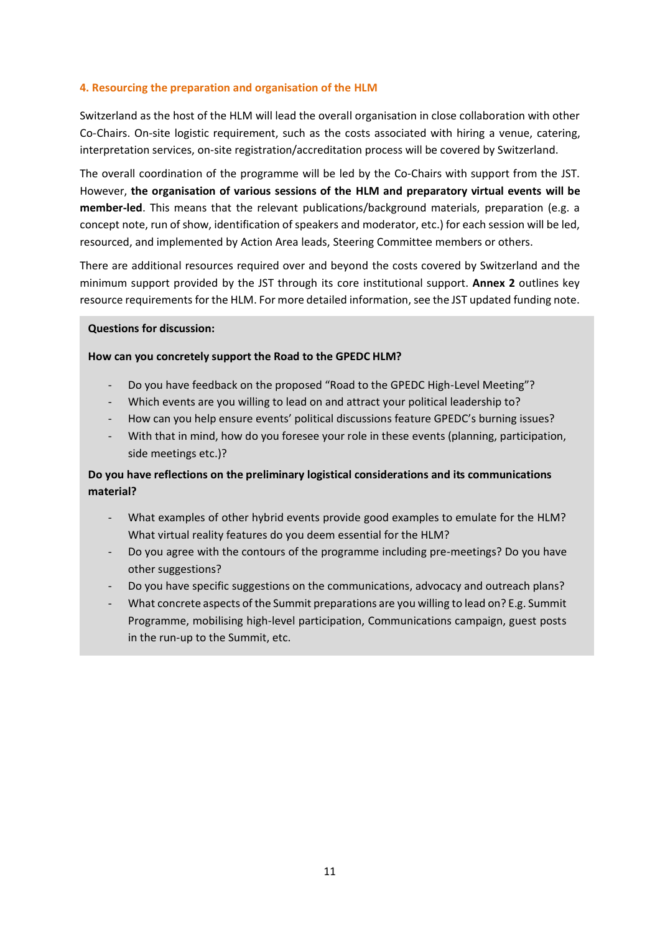#### **4. Resourcing the preparation and organisation of the HLM**

Switzerland as the host of the HLM will lead the overall organisation in close collaboration with other Co-Chairs. On-site logistic requirement, such as the costs associated with hiring a venue, catering, interpretation services, on-site registration/accreditation process will be covered by Switzerland.

The overall coordination of the programme will be led by the Co-Chairs with support from the JST. However, **the organisation of various sessions of the HLM and preparatory virtual events will be member-led**. This means that the relevant publications/background materials, preparation (e.g. a concept note, run of show, identification of speakers and moderator, etc.) for each session will be led, resourced, and implemented by Action Area leads, Steering Committee members or others.

There are additional resources required over and beyond the costs covered by Switzerland and the minimum support provided by the JST through its core institutional support. **Annex 2** outlines key resource requirements for the HLM. For more detailed information, see the JST updated funding note.

#### **Questions for discussion:**

#### **How can you concretely support the Road to the GPEDC HLM?**

- Do you have feedback on the proposed "Road to the GPEDC High-Level Meeting"?
- Which events are you willing to lead on and attract your political leadership to?
- How can you help ensure events' political discussions feature GPEDC's burning issues?
- With that in mind, how do you foresee your role in these events (planning, participation, side meetings etc.)?

# **Do you have reflections on the preliminary logistical considerations and its communications material?**

- What examples of other hybrid events provide good examples to emulate for the HLM? What virtual reality features do you deem essential for the HLM?
- Do you agree with the contours of the programme including pre-meetings? Do you have other suggestions?
- Do you have specific suggestions on the communications, advocacy and outreach plans?
- What concrete aspects of the Summit preparations are you willing to lead on? E.g. Summit Programme, mobilising high-level participation, Communications campaign, guest posts in the run-up to the Summit, etc.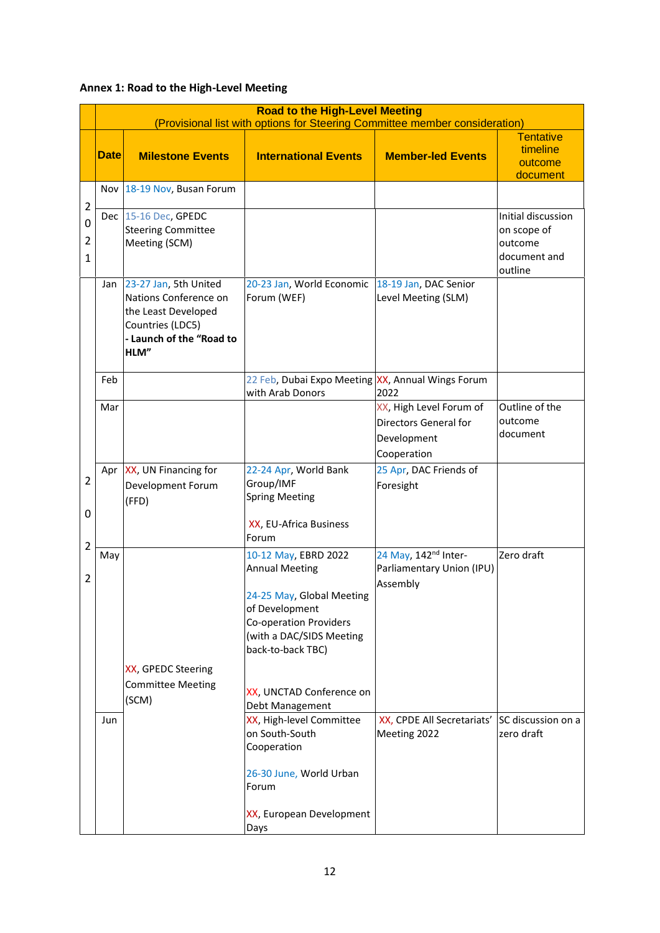# **Annex 1: Road to the High-Level Meeting**

|                                                       | <b>Road to the High-Level Meeting</b><br>(Provisional list with options for Steering Committee member consideration) |                                                                                                                               |                                                                                                                                                                                                                                                                                                                                                                    |                                                                                                                         |                                                                         |  |  |
|-------------------------------------------------------|----------------------------------------------------------------------------------------------------------------------|-------------------------------------------------------------------------------------------------------------------------------|--------------------------------------------------------------------------------------------------------------------------------------------------------------------------------------------------------------------------------------------------------------------------------------------------------------------------------------------------------------------|-------------------------------------------------------------------------------------------------------------------------|-------------------------------------------------------------------------|--|--|
|                                                       | <b>Date</b>                                                                                                          | <b>Milestone Events</b>                                                                                                       | <b>International Events</b>                                                                                                                                                                                                                                                                                                                                        | <b>Member-led Events</b>                                                                                                | <b>Tentative</b><br>timeline<br>outcome<br>document                     |  |  |
|                                                       |                                                                                                                      | Nov   18-19 Nov, Busan Forum                                                                                                  |                                                                                                                                                                                                                                                                                                                                                                    |                                                                                                                         |                                                                         |  |  |
| $\overline{2}$<br>0<br>$\overline{2}$<br>$\mathbf{1}$ |                                                                                                                      | Dec 15-16 Dec, GPEDC<br><b>Steering Committee</b><br>Meeting (SCM)                                                            |                                                                                                                                                                                                                                                                                                                                                                    |                                                                                                                         | Initial discussion<br>on scope of<br>outcome<br>document and<br>outline |  |  |
| $\overline{2}$<br>0<br>$\overline{2}$<br>2            | Jan                                                                                                                  | 23-27 Jan, 5th United<br>Nations Conference on<br>the Least Developed<br>Countries (LDC5)<br>- Launch of the "Road to<br>HLM" | 20-23 Jan, World Economic<br>Forum (WEF)                                                                                                                                                                                                                                                                                                                           | 18-19 Jan, DAC Senior<br>Level Meeting (SLM)                                                                            |                                                                         |  |  |
|                                                       | Feb                                                                                                                  |                                                                                                                               | 22 Feb, Dubai Expo Meeting XX, Annual Wings Forum<br>with Arab Donors                                                                                                                                                                                                                                                                                              | 2022                                                                                                                    |                                                                         |  |  |
|                                                       | Mar                                                                                                                  |                                                                                                                               |                                                                                                                                                                                                                                                                                                                                                                    | XX, High Level Forum of<br>Directors General for<br>Development<br>Cooperation                                          | Outline of the<br>outcome<br>document                                   |  |  |
|                                                       | Apr                                                                                                                  | XX, UN Financing for<br>Development Forum<br>(FFD)                                                                            | 22-24 Apr, World Bank<br>Group/IMF<br><b>Spring Meeting</b><br>XX, EU-Africa Business<br>Forum                                                                                                                                                                                                                                                                     | 25 Apr, DAC Friends of<br>Foresight                                                                                     |                                                                         |  |  |
|                                                       | May<br>Jun                                                                                                           | XX, GPEDC Steering<br><b>Committee Meeting</b><br>(SCM)                                                                       | 10-12 May, EBRD 2022<br><b>Annual Meeting</b><br>24-25 May, Global Meeting<br>of Development<br><b>Co-operation Providers</b><br>(with a DAC/SIDS Meeting<br>back-to-back TBC)<br>XX, UNCTAD Conference on<br>Debt Management<br>XX, High-level Committee<br>on South-South<br>Cooperation<br>26-30 June, World Urban<br>Forum<br>XX, European Development<br>Days | 24 May, 142 <sup>nd</sup> Inter-<br>Parliamentary Union (IPU)<br>Assembly<br>XX, CPDE All Secretariats'<br>Meeting 2022 | Zero draft<br>SC discussion on a<br>zero draft                          |  |  |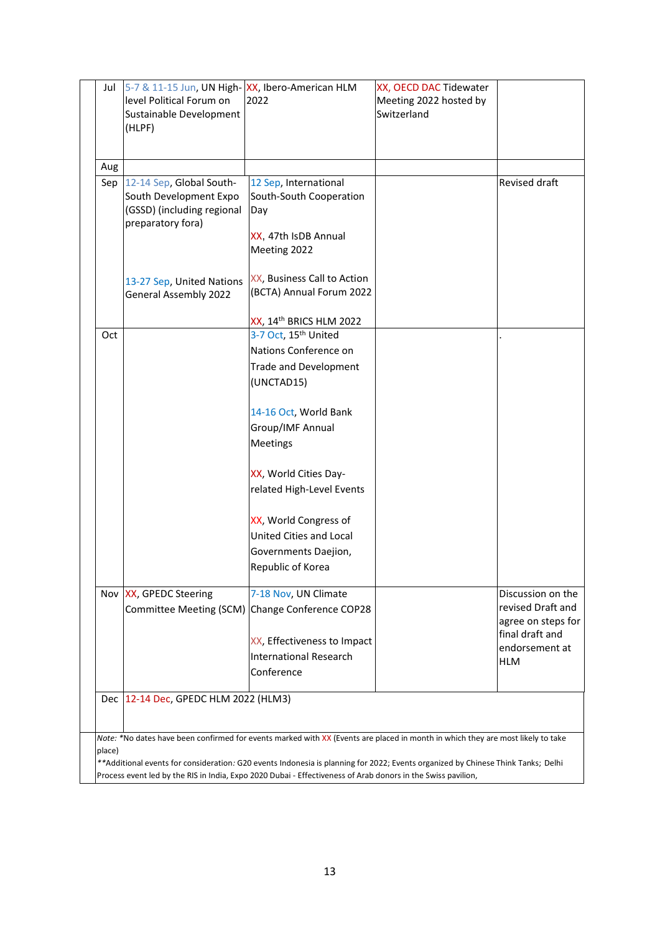| Jul                                                                                                                               | 5-7 & 11-15 Jun, UN High- XX, Ibero-American HLM<br>level Political Forum on<br>Sustainable Development<br>(HLPF) | 2022                                                                                                                            | XX, OECD DAC Tidewater<br>Meeting 2022 hosted by<br>Switzerland |                                       |  |
|-----------------------------------------------------------------------------------------------------------------------------------|-------------------------------------------------------------------------------------------------------------------|---------------------------------------------------------------------------------------------------------------------------------|-----------------------------------------------------------------|---------------------------------------|--|
| Aug                                                                                                                               |                                                                                                                   |                                                                                                                                 |                                                                 |                                       |  |
| Sep                                                                                                                               | 12-14 Sep, Global South-                                                                                          | 12 Sep, International                                                                                                           |                                                                 | Revised draft                         |  |
|                                                                                                                                   | South Development Expo                                                                                            | South-South Cooperation                                                                                                         |                                                                 |                                       |  |
|                                                                                                                                   | (GSSD) (including regional                                                                                        | Day                                                                                                                             |                                                                 |                                       |  |
|                                                                                                                                   | preparatory fora)                                                                                                 |                                                                                                                                 |                                                                 |                                       |  |
|                                                                                                                                   |                                                                                                                   | XX, 47th IsDB Annual                                                                                                            |                                                                 |                                       |  |
|                                                                                                                                   |                                                                                                                   | Meeting 2022                                                                                                                    |                                                                 |                                       |  |
|                                                                                                                                   |                                                                                                                   |                                                                                                                                 |                                                                 |                                       |  |
|                                                                                                                                   | 13-27 Sep, United Nations                                                                                         | XX, Business Call to Action                                                                                                     |                                                                 |                                       |  |
|                                                                                                                                   | <b>General Assembly 2022</b>                                                                                      | (BCTA) Annual Forum 2022                                                                                                        |                                                                 |                                       |  |
|                                                                                                                                   |                                                                                                                   |                                                                                                                                 |                                                                 |                                       |  |
| Oct                                                                                                                               |                                                                                                                   | XX, 14th BRICS HLM 2022<br>3-7 Oct, 15 <sup>th</sup> United                                                                     |                                                                 |                                       |  |
|                                                                                                                                   |                                                                                                                   |                                                                                                                                 |                                                                 |                                       |  |
|                                                                                                                                   |                                                                                                                   | Nations Conference on                                                                                                           |                                                                 |                                       |  |
|                                                                                                                                   |                                                                                                                   | <b>Trade and Development</b>                                                                                                    |                                                                 |                                       |  |
|                                                                                                                                   |                                                                                                                   | (UNCTAD15)                                                                                                                      |                                                                 |                                       |  |
|                                                                                                                                   |                                                                                                                   | 14-16 Oct, World Bank                                                                                                           |                                                                 |                                       |  |
|                                                                                                                                   |                                                                                                                   |                                                                                                                                 |                                                                 |                                       |  |
|                                                                                                                                   |                                                                                                                   | Group/IMF Annual                                                                                                                |                                                                 |                                       |  |
|                                                                                                                                   |                                                                                                                   | Meetings                                                                                                                        |                                                                 |                                       |  |
|                                                                                                                                   |                                                                                                                   | XX, World Cities Day-                                                                                                           |                                                                 |                                       |  |
|                                                                                                                                   |                                                                                                                   | related High-Level Events                                                                                                       |                                                                 |                                       |  |
|                                                                                                                                   |                                                                                                                   |                                                                                                                                 |                                                                 |                                       |  |
|                                                                                                                                   |                                                                                                                   | XX, World Congress of                                                                                                           |                                                                 |                                       |  |
|                                                                                                                                   |                                                                                                                   | United Cities and Local                                                                                                         |                                                                 |                                       |  |
|                                                                                                                                   |                                                                                                                   | Governments Daejion,                                                                                                            |                                                                 |                                       |  |
|                                                                                                                                   |                                                                                                                   | Republic of Korea                                                                                                               |                                                                 |                                       |  |
|                                                                                                                                   |                                                                                                                   |                                                                                                                                 |                                                                 |                                       |  |
|                                                                                                                                   | Nov XX, GPEDC Steering                                                                                            | 7-18 Nov, UN Climate                                                                                                            |                                                                 | Discussion on the                     |  |
|                                                                                                                                   |                                                                                                                   | Committee Meeting (SCM) Change Conference COP28                                                                                 |                                                                 | revised Draft and                     |  |
|                                                                                                                                   |                                                                                                                   |                                                                                                                                 |                                                                 | agree on steps for<br>final draft and |  |
|                                                                                                                                   |                                                                                                                   | XX, Effectiveness to Impact                                                                                                     |                                                                 | endorsement at                        |  |
|                                                                                                                                   |                                                                                                                   | <b>International Research</b>                                                                                                   |                                                                 | HLM                                   |  |
|                                                                                                                                   |                                                                                                                   | Conference                                                                                                                      |                                                                 |                                       |  |
|                                                                                                                                   |                                                                                                                   |                                                                                                                                 |                                                                 |                                       |  |
|                                                                                                                                   | Dec   12-14 Dec, GPEDC HLM 2022 (HLM3)                                                                            |                                                                                                                                 |                                                                 |                                       |  |
|                                                                                                                                   |                                                                                                                   |                                                                                                                                 |                                                                 |                                       |  |
|                                                                                                                                   |                                                                                                                   | Note: *No dates have been confirmed for events marked with XX (Events are placed in month in which they are most likely to take |                                                                 |                                       |  |
| place)                                                                                                                            |                                                                                                                   |                                                                                                                                 |                                                                 |                                       |  |
| ** Additional events for consideration: G20 events Indonesia is planning for 2022; Events organized by Chinese Think Tanks; Delhi |                                                                                                                   |                                                                                                                                 |                                                                 |                                       |  |
| Process event led by the RIS in India, Expo 2020 Dubai - Effectiveness of Arab donors in the Swiss pavilion,                      |                                                                                                                   |                                                                                                                                 |                                                                 |                                       |  |